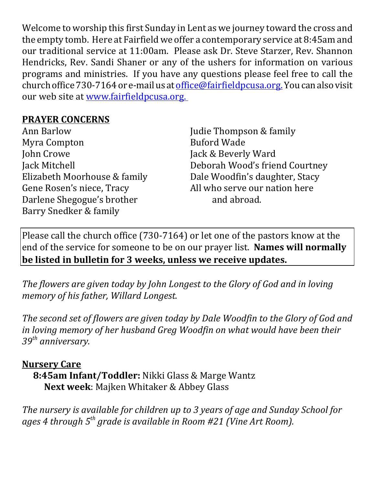Welcome to worship this first Sunday in Lent as we journey toward the cross and the empty tomb. Here at Fairfield we offer a contemporary service at 8:45am and our traditional service at 11:00am. Please ask Dr. Steve Starzer, Rev. Shannon Hendricks, Rev. Sandi Shaner or any of the ushers for information on various programs and ministries. If you have any questions please feel free to call the church office 730-7164 or e-mail us at office@fairfieldpcusa.org. You can also visit our web site at www.fairfieldpcusa.org.

## **PRAYER CONCERNS**

Ann Barlow Myra Compton John Crowe Jack Mitchell Elizabeth Moorhouse & family Gene Rosen's niece, Tracy Darlene Shegogue's brother Barry Snedker & family

Judie Thompson & family Buford Wade Jack & Beverly Ward Deborah Wood's friend Courtney Dale Woodfin's daughter, Stacy All who serve our nation here and abroad.

Please call the church office (730-7164) or let one of the pastors know at the end of the service for someone to be on our prayer list. **Names will normally be listed in bulletin for 3 weeks, unless we receive updates.**

*The flowers are given today by John Longest to the Glory of God and in loving memory of his father, Willard Longest.*

*The second set of flowers are given today by Dale Woodfin to the Glory of God and in loving memory of her husband Greg Woodfin on what would have been their 39th anniversary.*

## **Nursery Care**

**8:45am Infant/Toddler:** Nikki Glass & Marge Wantz **Next week**: Majken Whitaker & Abbey Glass

*The nursery is available for children up to 3 years of age and Sunday School for ages 4 through 5th grade is available in Room #21 (Vine Art Room).*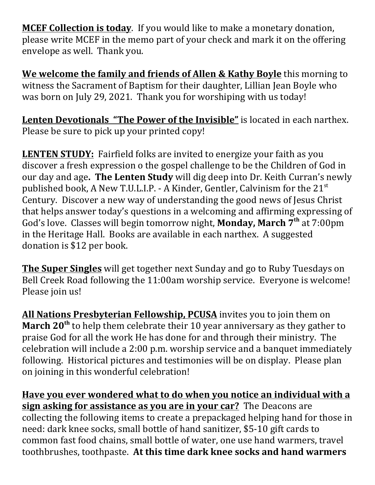**MCEF Collection is today**. If you would like to make a monetary donation, please write MCEF in the memo part of your check and mark it on the offering envelope as well. Thank you.

**We welcome the family and friends of Allen & Kathy Boyle** this morning to witness the Sacrament of Baptism for their daughter, Lillian Jean Boyle who was born on July 29, 2021. Thank you for worshiping with us today!

**Lenten Devotionals "The Power of the Invisible"** is located in each narthex. Please be sure to pick up your printed copy!

**LENTEN STUDY:** Fairfield folks are invited to energize your faith as you discover a fresh expression o the gospel challenge to be the Children of God in our day and age**. The Lenten Study** will dig deep into Dr. Keith Curran's newly published book, A New T.U.L.I.P. - A Kinder, Gentler, Calvinism for the  $21<sup>st</sup>$ Century. Discover a new way of understanding the good news of Jesus Christ that helps answer today's questions in a welcoming and affirming expressing of God's love. Classes will begin tomorrow night, **Monday, March 7th** at 7:00pm in the Heritage Hall. Books are available in each narthex. A suggested donation is \$12 per book.

**The Super Singles** will get together next Sunday and go to Ruby Tuesdays on Bell Creek Road following the 11:00am worship service. Everyone is welcome! Please join us!

**All Nations Presbyterian Fellowship, PCUSA** invites you to join them on **March 20th** to help them celebrate their 10 year anniversary as they gather to praise God for all the work He has done for and through their ministry. The celebration will include a 2:00 p.m. worship service and a banquet immediately following. Historical pictures and testimonies will be on display. Please plan on joining in this wonderful celebration!

**Have you ever wondered what to do when you notice an individual with a sign asking for assistance as you are in your car?** The Deacons are collecting the following items to create a prepackaged helping hand for those in need: dark knee socks, small bottle of hand sanitizer, \$5-10 gift cards to common fast food chains, small bottle of water, one use hand warmers, travel toothbrushes, toothpaste. **At this time dark knee socks and hand warmers**